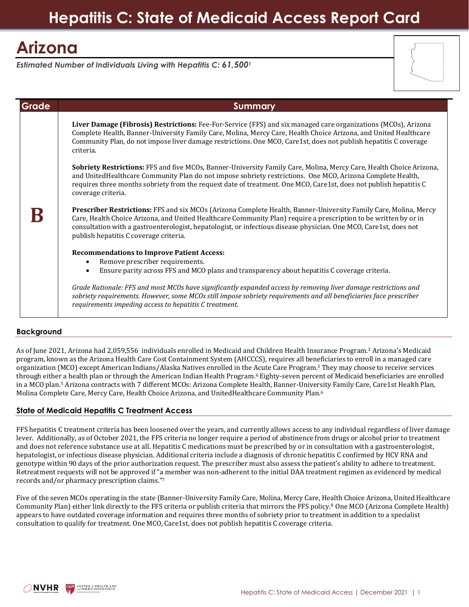## **Hepatitis C: State of Medicaid Access Report Card**

# **Arizona**

*Estimated Number of Individuals Living with Hepatitis C: 61,500<sup>1</sup>*

| Grade | <b>Summary</b>                                                                                                                                                                                                                                                                                                                                                                                      |
|-------|-----------------------------------------------------------------------------------------------------------------------------------------------------------------------------------------------------------------------------------------------------------------------------------------------------------------------------------------------------------------------------------------------------|
|       | Liver Damage (Fibrosis) Restrictions: Fee-For-Service (FFS) and six managed care organizations (MCOs), Arizona<br>Complete Health, Banner-University Family Care, Molina, Mercy Care, Health Choice Arizona, and United Healthcare<br>Community Plan, do not impose liver damage restrictions. One MCO, Care1st, does not publish hepatitis C coverage<br>criteria.                                 |
|       | Sobriety Restrictions: FFS and five MCOs, Banner-University Family Care, Molina, Mercy Care, Health Choice Arizona,<br>and UnitedHealthcare Community Plan do not impose sobriety restrictions. One MCO, Arizona Complete Health,<br>requires three months sobriety from the request date of treatment. One MCO, Care1st, does not publish hepatitis C<br>coverage criteria.                        |
|       | Prescriber Restrictions: FFS and six MCOs (Arizona Complete Health, Banner-University Family Care, Molina, Mercy<br>Care, Health Choice Arizona, and United Healthcare Community Plan) require a prescription to be written by or in<br>consultation with a gastroenterologist, hepatologist, or infectious disease physician. One MCO, Care1st, does not<br>publish hepatitis C coverage criteria. |
|       | <b>Recommendations to Improve Patient Access:</b>                                                                                                                                                                                                                                                                                                                                                   |
|       | Remove prescriber requirements.<br>$\bullet$<br>Ensure parity across FFS and MCO plans and transparency about hepatitis C coverage criteria.<br>$\bullet$                                                                                                                                                                                                                                           |
|       | Grade Rationale: FFS and most MCOs have significantly expanded access by removing liver damage restrictions and<br>sobriety requirements. However, some MCOs still impose sobriety requirements and all beneficiaries face prescriber<br>requirements impeding access to hepatitis C treatment.                                                                                                     |

## **Background**

As of June 2021, Arizona had 2,059,556 individuals enrolled in Medicaid and Children Health Insurance Program.<sup>2</sup> Arizona's Medicaid program, known as the Arizona Health Care Cost Containment System (AHCCCS), requires all beneficiaries to enroll in a managed care organization (MCO) except American Indians/Alaska Natives enrolled in the Acute Care Program. <sup>3</sup> They may choose to receive services through either a health plan or through the American Indian Health Program.<sup>4</sup> Eighty-seven percent of Medicaid beneficiaries are enrolled in a MCO plan.<sup>5</sup> Arizona contracts with 7 different MCOs: Arizona Complete Health, Banner-University Family Care, Care1st Health Plan, Molina Complete Care, Mercy Care, Health Choice Arizona, and UnitedHealthcare Community Plan.<sup>6</sup>

## **State of Medicaid Hepatitis C Treatment Access**

FFS hepatitis C treatment criteria has been loosened over the years, and currently allows access to any individual regardless of liver damage lever. Additionally, as of October 2021, the FFS criteria no longer require a period of abstinence from drugs or alcohol prior to treatment and does not reference substance use at all. Hepatitis C medications must be prescribed by or in consultation with a gastroenterologist, hepatologist, or infectious disease physician. Additional criteria include a diagnosis of chronic hepatitis C confirmed by HCV RNA and genotype within 90 days of the prior authorization request. The prescriber must also assess the patient's ability to adhere to treatment. Retreatment requests will not be approved if "a member was non-adherent to the initial DAA treatment regimen as evidenced by medical records and/or pharmacy prescription claims."<sup>7</sup>

Five of the seven MCOs operating in the state (Banner-University Family Care, Molina, Mercy Care, Health Choice Arizona, United Healthcare Community Plan) either link directly to the FFS criteria or publish criteria that mirrors the FFS policy.<sup>8</sup> One MCO (Arizona Complete Health) appears to have outdated coverage information and requires three months of sobriety prior to treatment in addition to a specialist consultation to qualify for treatment. One MCO, Care1st, does not publish hepatitis C coverage criteria.